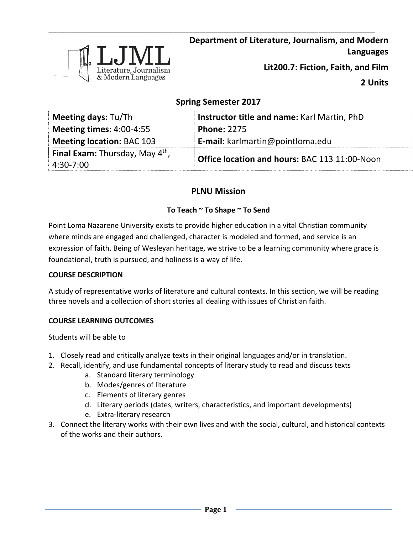

**2 Units**

# **Spring Semester 2017**

\_\_\_\_\_\_\_\_\_\_\_\_\_\_\_\_\_\_\_\_\_\_\_\_\_\_\_\_\_\_\_\_\_\_\_\_\_\_\_\_\_\_\_\_\_\_\_\_\_\_\_\_\_\_\_\_\_\_\_\_\_\_\_\_\_\_\_\_\_\_\_\_\_\_\_\_\_\_\_\_\_

| <b>Meeting days: Tu/Th</b>               | Instructor title and name: Karl Martin, PhD          |  |
|------------------------------------------|------------------------------------------------------|--|
| Meeting times: $4:00-4:55$               | <b>Phone: 2275</b>                                   |  |
| <b>Meeting location: BAC 103</b>         | <b>E-mail:</b> karlmartin@pointloma.edu              |  |
| <b>Final Exam:</b> Thursday, May $4th$ , | <b>Office location and hours: BAC 113 11:00-Noon</b> |  |
| $4:30 - 7:00$                            |                                                      |  |

# **PLNU Mission**

# **To Teach ~ To Shape ~ To Send**

Point Loma Nazarene University exists to provide higher education in a vital Christian community where minds are engaged and challenged, character is modeled and formed, and service is an expression of faith. Being of Wesleyan heritage, we strive to be a learning community where grace is foundational, truth is pursued, and holiness is a way of life.

### **COURSE DESCRIPTION**

A study of representative works of literature and cultural contexts. In this section, we will be reading three novels and a collection of short stories all dealing with issues of Christian faith.

# **COURSE LEARNING OUTCOMES**

Students will be able to

- 1. Closely read and critically analyze texts in their original languages and/or in translation.
- 2. Recall, identify, and use fundamental concepts of literary study to read and discuss texts
	- a. Standard literary terminology
	- b. Modes/genres of literature
	- c. Elements of literary genres
	- d. Literary periods (dates, writers, characteristics, and important developments)
	- e. Extra-literary research
- 3. Connect the literary works with their own lives and with the social, cultural, and historical contexts of the works and their authors.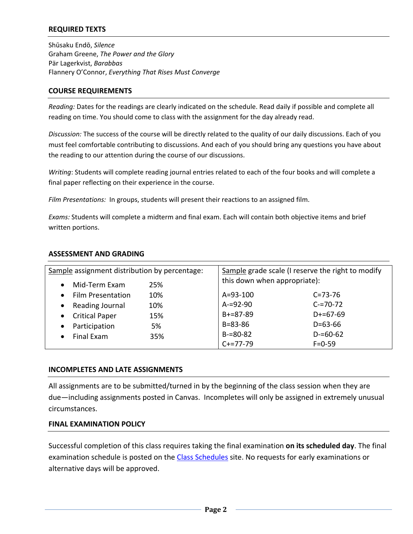# **REQUIRED TEXTS**

Shūsaku Endō, *Silence* Graham Greene, *The Power and the Glory* Pär Lagerkvist, *Barabbas* Flannery O'Connor, *Everything That Rises Must Converge*

#### **COURSE REQUIREMENTS**

*Reading:* Dates for the readings are clearly indicated on the schedule. Read daily if possible and complete all reading on time. You should come to class with the assignment for the day already read.

*Discussion:* The success of the course will be directly related to the quality of our daily discussions. Each of you must feel comfortable contributing to discussions. And each of you should bring any questions you have about the reading to our attention during the course of our discussions.

*Writing*: Students will complete reading journal entries related to each of the four books and will complete a final paper reflecting on their experience in the course.

*Film Presentations:* In groups, students will present their reactions to an assigned film.

*Exams:* Students will complete a midterm and final exam. Each will contain both objective items and brief written portions.

| Sample assignment distribution by percentage: |     | Sample grade scale (I reserve the right to modify |               |
|-----------------------------------------------|-----|---------------------------------------------------|---------------|
| Mid-Term Exam<br>$\bullet$                    | 25% | this down when appropriate):                      |               |
| <b>Film Presentation</b><br>$\bullet$         | 10% | $A = 93 - 100$                                    | $C = 73 - 76$ |
| Reading Journal<br>$\bullet$                  | 10% | $A = 92 - 90$                                     | $C = 70 - 72$ |
| <b>Critical Paper</b><br>$\bullet$            | 15% | $B+=87-89$                                        | $D+ = 67-69$  |
| Participation<br>$\bullet$                    | 5%  | $B = 83 - 86$                                     | $D = 63 - 66$ |
| Final Exam<br>$\bullet$                       | 35% | $B = 80 - 82$                                     | $D = 60 - 62$ |
|                                               |     | $C+=77-79$                                        | $F = 0 - 59$  |

#### **ASSESSMENT AND GRADING**

#### **INCOMPLETES AND LATE ASSIGNMENTS**

All assignments are to be submitted/turned in by the beginning of the class session when they are due—including assignments posted in Canvas. Incompletes will only be assigned in extremely unusual circumstances.

### **FINAL EXAMINATION POLICY**

Successful completion of this class requires taking the final examination **on its scheduled day**. The final examination schedule is posted on the [Class Schedules](http://www.pointloma.edu/experience/academics/class-schedules) site. No requests for early examinations or alternative days will be approved.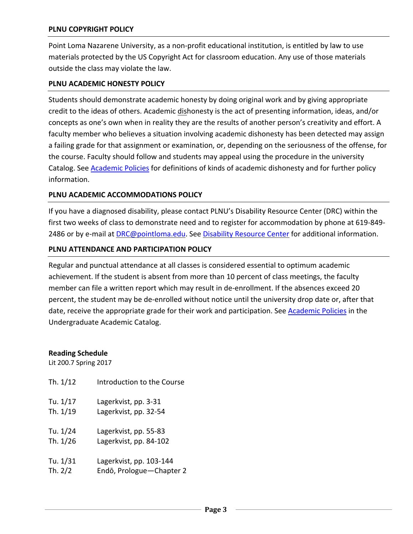## **PLNU COPYRIGHT POLICY**

Point Loma Nazarene University, as a non-profit educational institution, is entitled by law to use materials protected by the US Copyright Act for classroom education. Any use of those materials outside the class may violate the law.

### **PLNU ACADEMIC HONESTY POLICY**

Students should demonstrate academic honesty by doing original work and by giving appropriate credit to the ideas of others. Academic dishonesty is the act of presenting information, ideas, and/or concepts as one's own when in reality they are the results of another person's creativity and effort. A faculty member who believes a situation involving academic dishonesty has been detected may assign a failing grade for that assignment or examination, or, depending on the seriousness of the offense, for the course. Faculty should follow and students may appeal using the procedure in the university Catalog. See [Academic Policies](http://catalog.pointloma.edu/content.php?catoid=18&navoid=1278) for definitions of kinds of academic dishonesty and for further policy information.

### **PLNU ACADEMIC ACCOMMODATIONS POLICY**

If you have a diagnosed disability, please contact PLNU's Disability Resource Center (DRC) within the first two weeks of class to demonstrate need and to register for accommodation by phone at 619-849- 2486 or by e-mail at **DRC@pointloma.edu.** See [Disability Resource Center](http://www.pointloma.edu/experience/offices/administrative-offices/academic-advising-office/disability-resource-center) for additional information.

#### **PLNU ATTENDANCE AND PARTICIPATION POLICY**

Regular and punctual attendance at all classes is considered essential to optimum academic achievement. If the student is absent from more than 10 percent of class meetings, the faculty member can file a written report which may result in de-enrollment. If the absences exceed 20 percent, the student may be de-enrolled without notice until the university drop date or, after that date, receive the appropriate grade for their work and participation. See **Academic Policies** in the Undergraduate Academic Catalog.

**Reading Schedule**

Lit 200.7 Spring 2017

| Th. 1/12  | Introduction to the Course |
|-----------|----------------------------|
| Tu. 1/17  | Lagerkvist, pp. 3-31       |
| Th. 1/19  | Lagerkvist, pp. 32-54      |
| Tu. 1/24  | Lagerkvist, pp. 55-83      |
| Th. 1/26  | Lagerkvist, pp. 84-102     |
| Tu. 1/31  | Lagerkvist, pp. 103-144    |
| Th. $2/2$ | Endō, Prologue-Chapter 2   |